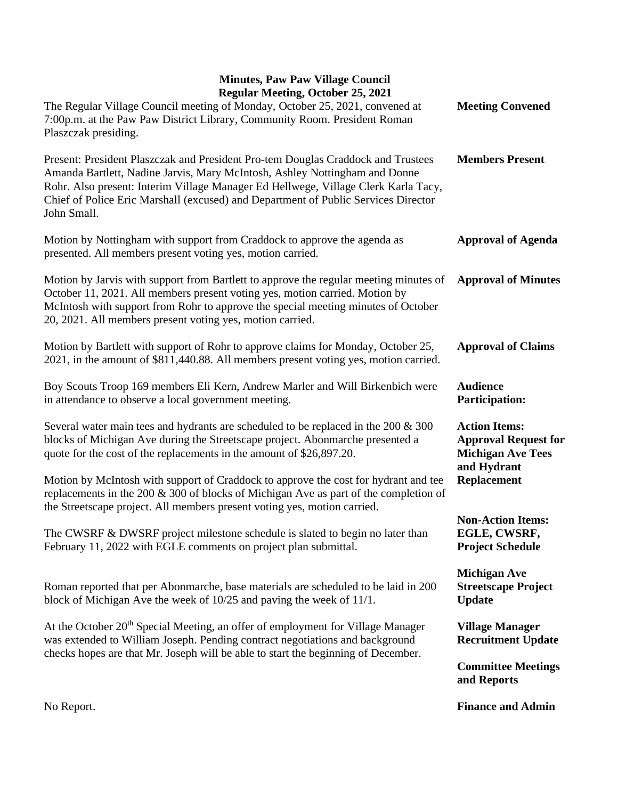## **Minutes, Paw Paw Village Council Regular Meeting, October 25, 2021**

| Regular Meeting, October 25, 2021<br>The Regular Village Council meeting of Monday, October 25, 2021, convened at<br>7:00p.m. at the Paw Paw District Library, Community Room. President Roman<br>Plaszczak presiding.                                                                                                                                    | <b>Meeting Convened</b>                                                                        |
|-----------------------------------------------------------------------------------------------------------------------------------------------------------------------------------------------------------------------------------------------------------------------------------------------------------------------------------------------------------|------------------------------------------------------------------------------------------------|
| Present: President Plaszczak and President Pro-tem Douglas Craddock and Trustees<br>Amanda Bartlett, Nadine Jarvis, Mary McIntosh, Ashley Nottingham and Donne<br>Rohr. Also present: Interim Village Manager Ed Hellwege, Village Clerk Karla Tacy,<br>Chief of Police Eric Marshall (excused) and Department of Public Services Director<br>John Small. | <b>Members Present</b>                                                                         |
| Motion by Nottingham with support from Craddock to approve the agenda as<br>presented. All members present voting yes, motion carried.                                                                                                                                                                                                                    | <b>Approval of Agenda</b>                                                                      |
| Motion by Jarvis with support from Bartlett to approve the regular meeting minutes of<br>October 11, 2021. All members present voting yes, motion carried. Motion by<br>McIntosh with support from Rohr to approve the special meeting minutes of October<br>20, 2021. All members present voting yes, motion carried.                                    | <b>Approval of Minutes</b>                                                                     |
| Motion by Bartlett with support of Rohr to approve claims for Monday, October 25,<br>2021, in the amount of \$811,440.88. All members present voting yes, motion carried.                                                                                                                                                                                 | <b>Approval of Claims</b>                                                                      |
| Boy Scouts Troop 169 members Eli Kern, Andrew Marler and Will Birkenbich were<br>in attendance to observe a local government meeting.                                                                                                                                                                                                                     | <b>Audience</b><br><b>Participation:</b>                                                       |
| Several water main tees and hydrants are scheduled to be replaced in the $200 \& 300$<br>blocks of Michigan Ave during the Streetscape project. Abonmarche presented a<br>quote for the cost of the replacements in the amount of \$26,897.20.                                                                                                            | <b>Action Items:</b><br><b>Approval Request for</b><br><b>Michigan Ave Tees</b><br>and Hydrant |
| Motion by McIntosh with support of Craddock to approve the cost for hydrant and tee<br>replacements in the 200 & 300 of blocks of Michigan Ave as part of the completion of<br>the Streetscape project. All members present voting yes, motion carried.                                                                                                   | <b>Replacement</b>                                                                             |
| The CWSRF & DWSRF project milestone schedule is slated to begin no later than<br>February 11, 2022 with EGLE comments on project plan submittal.                                                                                                                                                                                                          | <b>Non-Action Items:</b><br>EGLE, CWSRF,<br><b>Project Schedule</b>                            |
| Roman reported that per Abonmarche, base materials are scheduled to be laid in 200<br>block of Michigan Ave the week of $10/25$ and paving the week of $11/1$ .                                                                                                                                                                                           | <b>Michigan Ave</b><br><b>Streetscape Project</b><br><b>Update</b>                             |
| At the October 20 <sup>th</sup> Special Meeting, an offer of employment for Village Manager<br>was extended to William Joseph. Pending contract negotiations and background                                                                                                                                                                               | <b>Village Manager</b><br><b>Recruitment Update</b>                                            |
| checks hopes are that Mr. Joseph will be able to start the beginning of December.                                                                                                                                                                                                                                                                         | <b>Committee Meetings</b><br>and Reports                                                       |
|                                                                                                                                                                                                                                                                                                                                                           |                                                                                                |

**Finance and Admin**

No Report.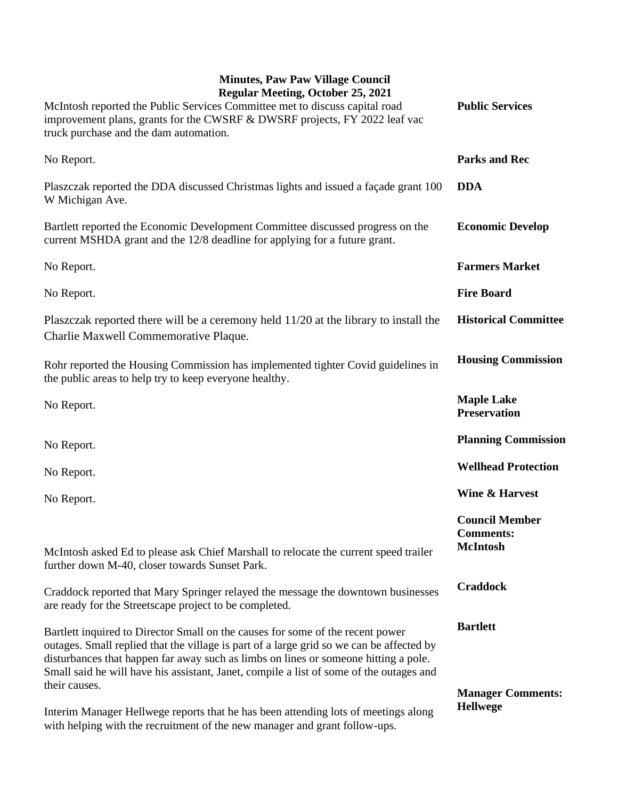## **Minutes, Paw Paw Village Council Regular Meeting, October 25, 2021**

| Regular Meeting, October 25, 2021<br>McIntosh reported the Public Services Committee met to discuss capital road<br>improvement plans, grants for the CWSRF & DWSRF projects, FY 2022 leaf vac<br>truck purchase and the dam automation.                                                                                                                     | <b>Public Services</b>                                       |
|--------------------------------------------------------------------------------------------------------------------------------------------------------------------------------------------------------------------------------------------------------------------------------------------------------------------------------------------------------------|--------------------------------------------------------------|
| No Report.                                                                                                                                                                                                                                                                                                                                                   | <b>Parks and Rec</b>                                         |
| Plaszczak reported the DDA discussed Christmas lights and issued a façade grant 100<br>W Michigan Ave.                                                                                                                                                                                                                                                       | <b>DDA</b>                                                   |
| Bartlett reported the Economic Development Committee discussed progress on the<br>current MSHDA grant and the 12/8 deadline for applying for a future grant.                                                                                                                                                                                                 | <b>Economic Develop</b>                                      |
| No Report.                                                                                                                                                                                                                                                                                                                                                   | <b>Farmers Market</b>                                        |
| No Report.                                                                                                                                                                                                                                                                                                                                                   | <b>Fire Board</b>                                            |
| Plaszczak reported there will be a ceremony held 11/20 at the library to install the<br>Charlie Maxwell Commemorative Plaque.                                                                                                                                                                                                                                | <b>Historical Committee</b>                                  |
| Rohr reported the Housing Commission has implemented tighter Covid guidelines in<br>the public areas to help try to keep everyone healthy.                                                                                                                                                                                                                   | <b>Housing Commission</b>                                    |
| No Report.                                                                                                                                                                                                                                                                                                                                                   | <b>Maple Lake</b><br><b>Preservation</b>                     |
| No Report.                                                                                                                                                                                                                                                                                                                                                   | <b>Planning Commission</b>                                   |
| No Report.                                                                                                                                                                                                                                                                                                                                                   | <b>Wellhead Protection</b>                                   |
| No Report.                                                                                                                                                                                                                                                                                                                                                   | Wine & Harvest                                               |
| McIntosh asked Ed to please ask Chief Marshall to relocate the current speed trailer                                                                                                                                                                                                                                                                         | <b>Council Member</b><br><b>Comments:</b><br><b>McIntosh</b> |
| further down M-40, closer towards Sunset Park.                                                                                                                                                                                                                                                                                                               | <b>Craddock</b>                                              |
| Craddock reported that Mary Springer relayed the message the downtown businesses<br>are ready for the Streetscape project to be completed.                                                                                                                                                                                                                   |                                                              |
| Bartlett inquired to Director Small on the causes for some of the recent power<br>outages. Small replied that the village is part of a large grid so we can be affected by<br>disturbances that happen far away such as limbs on lines or someone hitting a pole.<br>Small said he will have his assistant, Janet, compile a list of some of the outages and | <b>Bartlett</b>                                              |
| their causes.<br>Interim Manager Hellwege reports that he has been attending lots of meetings along                                                                                                                                                                                                                                                          | <b>Manager Comments:</b><br><b>Hellwege</b>                  |

with helping with the recruitment of the new manager and grant follow-ups.